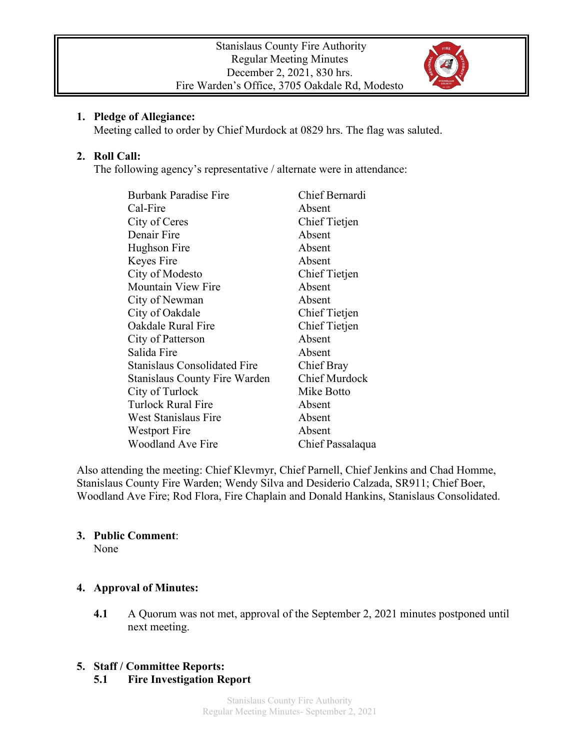

### **1. Pledge of Allegiance:**

Meeting called to order by Chief Murdock at 0829 hrs. The flag was saluted.

# **2. Roll Call:**

The following agency's representative / alternate were in attendance:

| <b>Burbank Paradise Fire</b>         | Chief Bernardi       |
|--------------------------------------|----------------------|
| Cal-Fire                             | Absent               |
| City of Ceres                        | Chief Tietjen        |
| Denair Fire                          | Absent               |
| Hughson Fire                         | Absent               |
| Keyes Fire                           | Absent               |
| City of Modesto                      | Chief Tietjen        |
| <b>Mountain View Fire</b>            | Absent               |
| City of Newman                       | Absent               |
| City of Oakdale                      | Chief Tietjen        |
| Oakdale Rural Fire                   | Chief Tietjen        |
| City of Patterson                    | Absent               |
| Salida Fire                          | Absent               |
| <b>Stanislaus Consolidated Fire</b>  | Chief Bray           |
| <b>Stanislaus County Fire Warden</b> | <b>Chief Murdock</b> |
| City of Turlock                      | Mike Botto           |
| Turlock Rural Fire                   | Absent               |
| West Stanislaus Fire                 | Absent               |
| Westport Fire                        | Absent               |
| <b>Woodland Ave Fire</b>             | Chief Passalaqua     |

Also attending the meeting: Chief Klevmyr, Chief Parnell, Chief Jenkins and Chad Homme, Stanislaus County Fire Warden; Wendy Silva and Desiderio Calzada, SR911; Chief Boer, Woodland Ave Fire; Rod Flora, Fire Chaplain and Donald Hankins, Stanislaus Consolidated.

# **3. Public Comment**:

None

# **4. Approval of Minutes:**

**4.1** A Quorum was not met, approval of the September 2, 2021 minutes postponed until next meeting.

# **5. Staff / Committee Reports:**

# **5.1 Fire Investigation Report**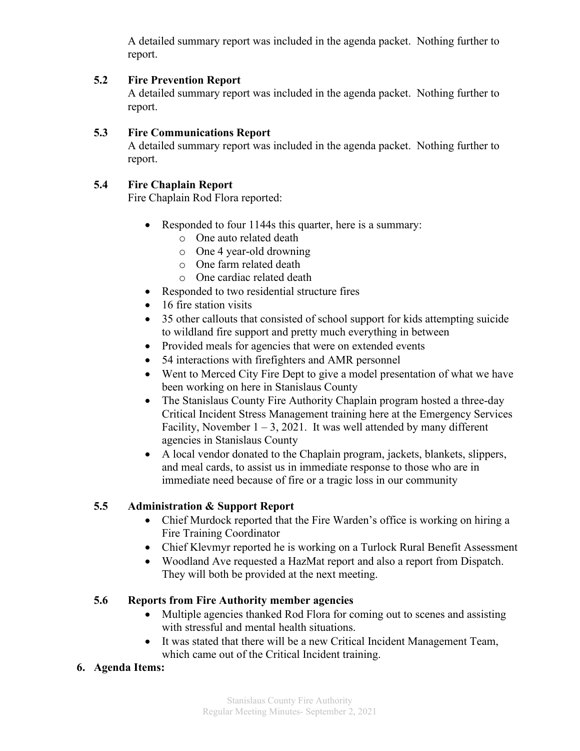A detailed summary report was included in the agenda packet. Nothing further to report.

# **5.2 Fire Prevention Report**

A detailed summary report was included in the agenda packet. Nothing further to report.

#### **5.3 Fire Communications Report**

A detailed summary report was included in the agenda packet. Nothing further to report.

# **5.4 Fire Chaplain Report**

Fire Chaplain Rod Flora reported:

- Responded to four 1144s this quarter, here is a summary:
	- o One auto related death
	- o One 4 year-old drowning
	- o One farm related death
	- o One cardiac related death
- Responded to two residential structure fires
- 16 fire station visits
- 35 other callouts that consisted of school support for kids attempting suicide to wildland fire support and pretty much everything in between
- Provided meals for agencies that were on extended events
- 54 interactions with firefighters and AMR personnel
- Went to Merced City Fire Dept to give a model presentation of what we have been working on here in Stanislaus County
- The Stanislaus County Fire Authority Chaplain program hosted a three-day Critical Incident Stress Management training here at the Emergency Services Facility, November  $1 - 3$ , 2021. It was well attended by many different agencies in Stanislaus County
- A local vendor donated to the Chaplain program, jackets, blankets, slippers, and meal cards, to assist us in immediate response to those who are in immediate need because of fire or a tragic loss in our community

# **5.5 Administration & Support Report**

- Chief Murdock reported that the Fire Warden's office is working on hiring a Fire Training Coordinator
- Chief Klevmyr reported he is working on a Turlock Rural Benefit Assessment
- Woodland Ave requested a HazMat report and also a report from Dispatch. They will both be provided at the next meeting.

# **5.6 Reports from Fire Authority member agencies**

- Multiple agencies thanked Rod Flora for coming out to scenes and assisting with stressful and mental health situations.
- It was stated that there will be a new Critical Incident Management Team, which came out of the Critical Incident training.

# **6. Agenda Items:**